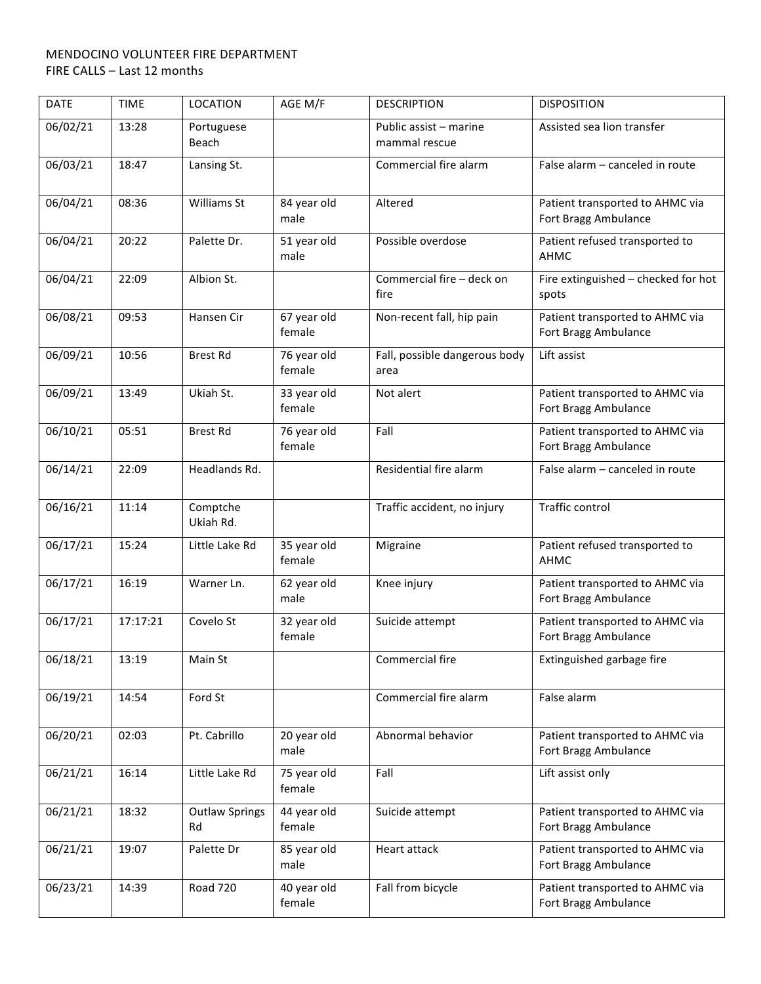| <b>DATE</b> | <b>TIME</b> | <b>LOCATION</b>             | AGE M/F               | <b>DESCRIPTION</b>                      | <b>DISPOSITION</b>                                      |
|-------------|-------------|-----------------------------|-----------------------|-----------------------------------------|---------------------------------------------------------|
| 06/02/21    | 13:28       | Portuguese<br>Beach         |                       | Public assist - marine<br>mammal rescue | Assisted sea lion transfer                              |
| 06/03/21    | 18:47       | Lansing St.                 |                       | Commercial fire alarm                   | False alarm - canceled in route                         |
| 06/04/21    | 08:36       | Williams St                 | 84 year old<br>male   | Altered                                 | Patient transported to AHMC via<br>Fort Bragg Ambulance |
| 06/04/21    | 20:22       | Palette Dr.                 | 51 year old<br>male   | Possible overdose                       | Patient refused transported to<br>AHMC                  |
| 06/04/21    | 22:09       | Albion St.                  |                       | Commercial fire - deck on<br>fire       | Fire extinguished - checked for hot<br>spots            |
| 06/08/21    | 09:53       | Hansen Cir                  | 67 year old<br>female | Non-recent fall, hip pain               | Patient transported to AHMC via<br>Fort Bragg Ambulance |
| 06/09/21    | 10:56       | <b>Brest Rd</b>             | 76 year old<br>female | Fall, possible dangerous body<br>area   | Lift assist                                             |
| 06/09/21    | 13:49       | Ukiah St.                   | 33 year old<br>female | Not alert                               | Patient transported to AHMC via<br>Fort Bragg Ambulance |
| 06/10/21    | 05:51       | <b>Brest Rd</b>             | 76 year old<br>female | Fall                                    | Patient transported to AHMC via<br>Fort Bragg Ambulance |
| 06/14/21    | 22:09       | Headlands Rd.               |                       | Residential fire alarm                  | False alarm - canceled in route                         |
| 06/16/21    | 11:14       | Comptche<br>Ukiah Rd.       |                       | Traffic accident, no injury             | Traffic control                                         |
| 06/17/21    | 15:24       | Little Lake Rd              | 35 year old<br>female | Migraine                                | Patient refused transported to<br>AHMC                  |
| 06/17/21    | 16:19       | Warner Ln.                  | 62 year old<br>male   | Knee injury                             | Patient transported to AHMC via<br>Fort Bragg Ambulance |
| 06/17/21    | 17:17:21    | Covelo St                   | 32 year old<br>female | Suicide attempt                         | Patient transported to AHMC via<br>Fort Bragg Ambulance |
| 06/18/21    | 13:19       | Main St                     |                       | Commercial fire                         | Extinguished garbage fire                               |
| 06/19/21    | 14:54       | Ford St                     |                       | Commercial fire alarm                   | False alarm                                             |
| 06/20/21    | 02:03       | Pt. Cabrillo                | 20 year old<br>male   | Abnormal behavior                       | Patient transported to AHMC via<br>Fort Bragg Ambulance |
| 06/21/21    | 16:14       | Little Lake Rd              | 75 year old<br>female | Fall                                    | Lift assist only                                        |
| 06/21/21    | 18:32       | <b>Outlaw Springs</b><br>Rd | 44 year old<br>female | Suicide attempt                         | Patient transported to AHMC via<br>Fort Bragg Ambulance |
| 06/21/21    | 19:07       | Palette Dr                  | 85 year old<br>male   | Heart attack                            | Patient transported to AHMC via<br>Fort Bragg Ambulance |
| 06/23/21    | 14:39       | Road 720                    | 40 year old<br>female | Fall from bicycle                       | Patient transported to AHMC via<br>Fort Bragg Ambulance |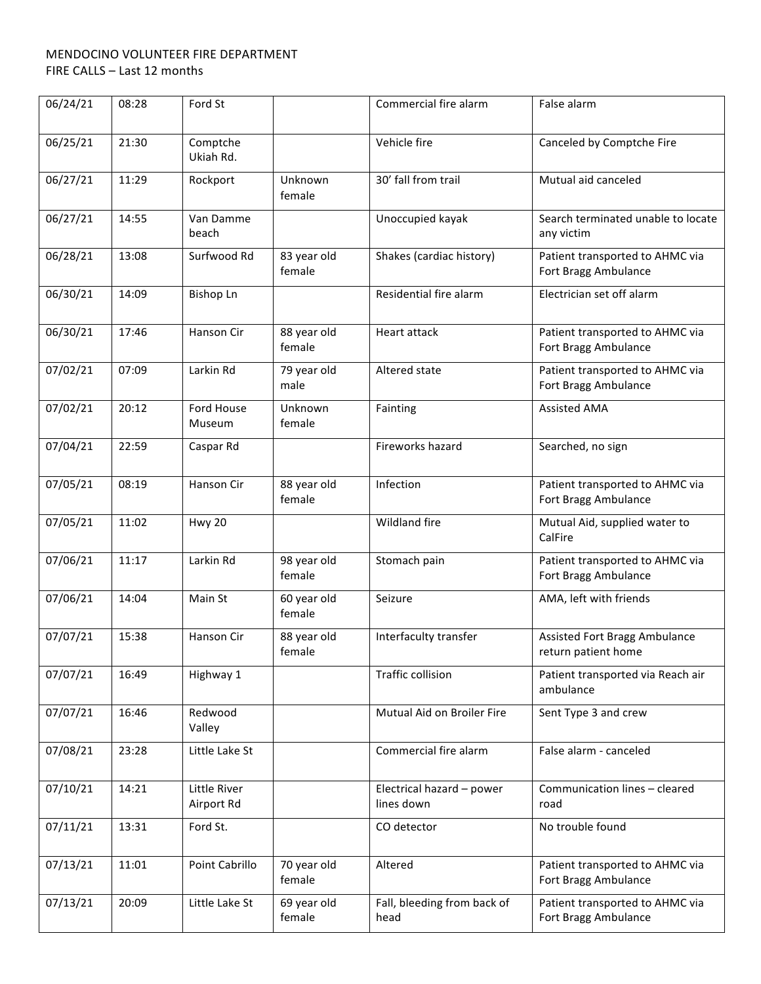| 06/24/21 | 08:28 | Ford St                    |                       | Commercial fire alarm                   | False alarm                                             |
|----------|-------|----------------------------|-----------------------|-----------------------------------------|---------------------------------------------------------|
| 06/25/21 | 21:30 | Comptche<br>Ukiah Rd.      |                       | Vehicle fire                            | Canceled by Comptche Fire                               |
| 06/27/21 | 11:29 | Rockport                   | Unknown<br>female     | 30' fall from trail                     | Mutual aid canceled                                     |
| 06/27/21 | 14:55 | Van Damme<br>beach         |                       | Unoccupied kayak                        | Search terminated unable to locate<br>any victim        |
| 06/28/21 | 13:08 | Surfwood Rd                | 83 year old<br>female | Shakes (cardiac history)                | Patient transported to AHMC via<br>Fort Bragg Ambulance |
| 06/30/21 | 14:09 | <b>Bishop Ln</b>           |                       | Residential fire alarm                  | Electrician set off alarm                               |
| 06/30/21 | 17:46 | Hanson Cir                 | 88 year old<br>female | Heart attack                            | Patient transported to AHMC via<br>Fort Bragg Ambulance |
| 07/02/21 | 07:09 | Larkin Rd                  | 79 year old<br>male   | Altered state                           | Patient transported to AHMC via<br>Fort Bragg Ambulance |
| 07/02/21 | 20:12 | Ford House<br>Museum       | Unknown<br>female     | Fainting                                | <b>Assisted AMA</b>                                     |
| 07/04/21 | 22:59 | Caspar Rd                  |                       | Fireworks hazard                        | Searched, no sign                                       |
| 07/05/21 | 08:19 | Hanson Cir                 | 88 year old<br>female | Infection                               | Patient transported to AHMC via<br>Fort Bragg Ambulance |
| 07/05/21 | 11:02 | Hwy 20                     |                       | Wildland fire                           | Mutual Aid, supplied water to<br>CalFire                |
| 07/06/21 | 11:17 | Larkin Rd                  | 98 year old<br>female | Stomach pain                            | Patient transported to AHMC via<br>Fort Bragg Ambulance |
| 07/06/21 | 14:04 | Main St                    | 60 year old<br>female | Seizure                                 | AMA, left with friends                                  |
| 07/07/21 | 15:38 | Hanson Cir                 | 88 year old<br>female | Interfaculty transfer                   | Assisted Fort Bragg Ambulance<br>return patient home    |
| 07/07/21 | 16:49 | Highway 1                  |                       | Traffic collision                       | Patient transported via Reach air<br>ambulance          |
| 07/07/21 | 16:46 | Redwood<br>Valley          |                       | Mutual Aid on Broiler Fire              | Sent Type 3 and crew                                    |
| 07/08/21 | 23:28 | Little Lake St             |                       | Commercial fire alarm                   | False alarm - canceled                                  |
| 07/10/21 | 14:21 | Little River<br>Airport Rd |                       | Electrical hazard - power<br>lines down | Communication lines - cleared<br>road                   |
| 07/11/21 | 13:31 | Ford St.                   |                       | CO detector                             | No trouble found                                        |
| 07/13/21 | 11:01 | Point Cabrillo             | 70 year old<br>female | Altered                                 | Patient transported to AHMC via<br>Fort Bragg Ambulance |
| 07/13/21 | 20:09 | Little Lake St             | 69 year old<br>female | Fall, bleeding from back of<br>head     | Patient transported to AHMC via<br>Fort Bragg Ambulance |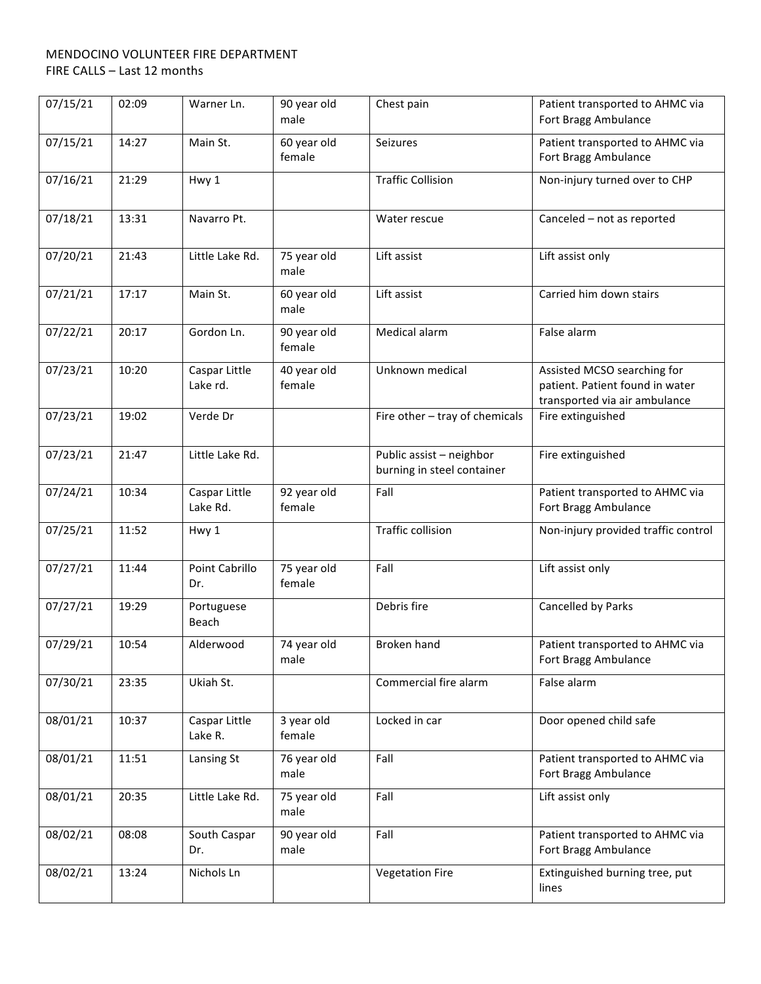| 07/15/21 | 02:09 | Warner Ln.                | 90 year old<br>male   | Chest pain                                             | Patient transported to AHMC via<br>Fort Bragg Ambulance                                         |
|----------|-------|---------------------------|-----------------------|--------------------------------------------------------|-------------------------------------------------------------------------------------------------|
| 07/15/21 | 14:27 | Main St.                  | 60 year old<br>female | Seizures                                               | Patient transported to AHMC via<br>Fort Bragg Ambulance                                         |
| 07/16/21 | 21:29 | Hwy 1                     |                       | <b>Traffic Collision</b>                               | Non-injury turned over to CHP                                                                   |
| 07/18/21 | 13:31 | Navarro Pt.               |                       | Water rescue                                           | Canceled - not as reported                                                                      |
| 07/20/21 | 21:43 | Little Lake Rd.           | 75 year old<br>male   | Lift assist                                            | Lift assist only                                                                                |
| 07/21/21 | 17:17 | Main St.                  | 60 year old<br>male   | Lift assist                                            | Carried him down stairs                                                                         |
| 07/22/21 | 20:17 | Gordon Ln.                | 90 year old<br>female | Medical alarm                                          | False alarm                                                                                     |
| 07/23/21 | 10:20 | Caspar Little<br>Lake rd. | 40 year old<br>female | Unknown medical                                        | Assisted MCSO searching for<br>patient. Patient found in water<br>transported via air ambulance |
| 07/23/21 | 19:02 | Verde Dr                  |                       | Fire other - tray of chemicals                         | Fire extinguished                                                                               |
| 07/23/21 | 21:47 | Little Lake Rd.           |                       | Public assist - neighbor<br>burning in steel container | Fire extinguished                                                                               |
| 07/24/21 | 10:34 | Caspar Little<br>Lake Rd. | 92 year old<br>female | Fall                                                   | Patient transported to AHMC via<br>Fort Bragg Ambulance                                         |
| 07/25/21 | 11:52 | Hwy 1                     |                       | <b>Traffic collision</b>                               | Non-injury provided traffic control                                                             |
| 07/27/21 | 11:44 | Point Cabrillo<br>Dr.     | 75 year old<br>female | Fall                                                   | Lift assist only                                                                                |
| 07/27/21 | 19:29 | Portuguese<br>Beach       |                       | Debris fire                                            | Cancelled by Parks                                                                              |
| 07/29/21 | 10:54 | Alderwood                 | 74 year old<br>male   | Broken hand                                            | Patient transported to AHMC via<br>Fort Bragg Ambulance                                         |
| 07/30/21 | 23:35 | Ukiah St.                 |                       | Commercial fire alarm                                  | False alarm                                                                                     |
| 08/01/21 | 10:37 | Caspar Little<br>Lake R.  | 3 year old<br>female  | Locked in car                                          | Door opened child safe                                                                          |
| 08/01/21 | 11:51 | Lansing St                | 76 year old<br>male   | Fall                                                   | Patient transported to AHMC via<br>Fort Bragg Ambulance                                         |
| 08/01/21 | 20:35 | Little Lake Rd.           | 75 year old<br>male   | Fall                                                   | Lift assist only                                                                                |
| 08/02/21 | 08:08 | South Caspar<br>Dr.       | 90 year old<br>male   | Fall                                                   | Patient transported to AHMC via<br>Fort Bragg Ambulance                                         |
| 08/02/21 | 13:24 | Nichols Ln                |                       | <b>Vegetation Fire</b>                                 | Extinguished burning tree, put<br>lines                                                         |
|          |       |                           |                       |                                                        |                                                                                                 |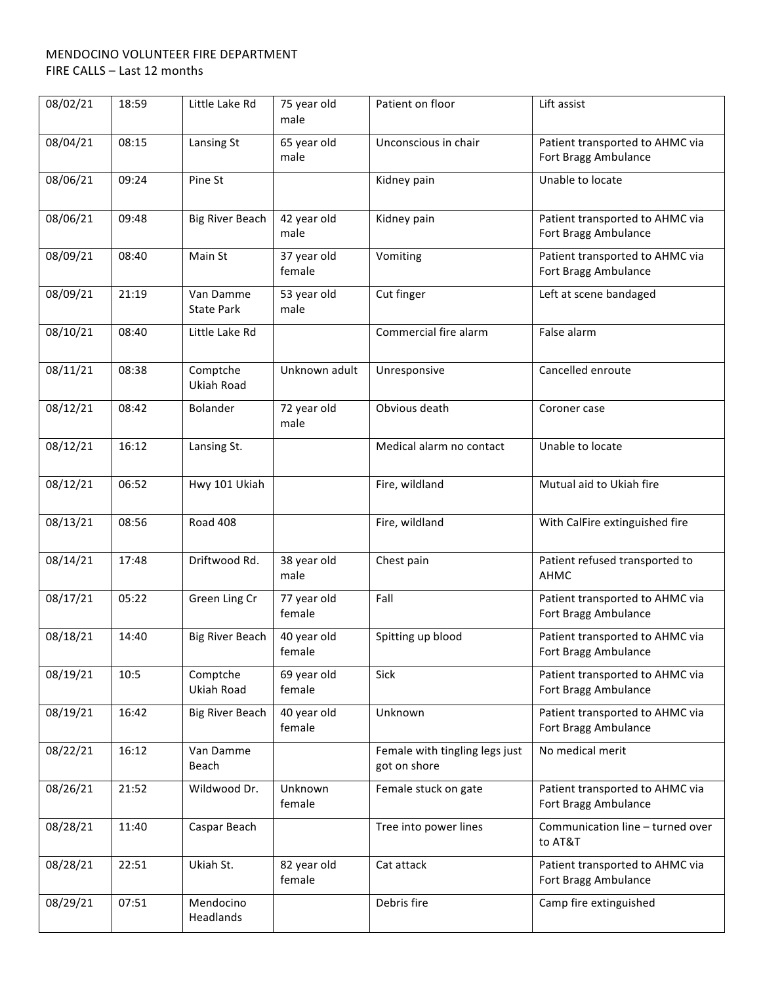| 08/02/21 | 18:59 | Little Lake Rd                 | 75 year old<br>male   | Patient on floor                               | Lift assist                                             |
|----------|-------|--------------------------------|-----------------------|------------------------------------------------|---------------------------------------------------------|
| 08/04/21 | 08:15 | Lansing St                     | 65 year old<br>male   | Unconscious in chair                           | Patient transported to AHMC via<br>Fort Bragg Ambulance |
| 08/06/21 | 09:24 | Pine St                        |                       | Kidney pain                                    | Unable to locate                                        |
| 08/06/21 | 09:48 | <b>Big River Beach</b>         | 42 year old<br>male   | Kidney pain                                    | Patient transported to AHMC via<br>Fort Bragg Ambulance |
| 08/09/21 | 08:40 | Main St                        | 37 year old<br>female | Vomiting                                       | Patient transported to AHMC via<br>Fort Bragg Ambulance |
| 08/09/21 | 21:19 | Van Damme<br><b>State Park</b> | 53 year old<br>male   | Cut finger                                     | Left at scene bandaged                                  |
| 08/10/21 | 08:40 | Little Lake Rd                 |                       | Commercial fire alarm                          | False alarm                                             |
| 08/11/21 | 08:38 | Comptche<br>Ukiah Road         | Unknown adult         | Unresponsive                                   | Cancelled enroute                                       |
| 08/12/21 | 08:42 | <b>Bolander</b>                | 72 year old<br>male   | Obvious death                                  | Coroner case                                            |
| 08/12/21 | 16:12 | Lansing St.                    |                       | Medical alarm no contact                       | Unable to locate                                        |
| 08/12/21 | 06:52 | Hwy 101 Ukiah                  |                       | Fire, wildland                                 | Mutual aid to Ukiah fire                                |
| 08/13/21 | 08:56 | Road 408                       |                       | Fire, wildland                                 | With CalFire extinguished fire                          |
| 08/14/21 | 17:48 | Driftwood Rd.                  | 38 year old<br>male   | Chest pain                                     | Patient refused transported to<br>AHMC                  |
| 08/17/21 | 05:22 | Green Ling Cr                  | 77 year old<br>female | Fall                                           | Patient transported to AHMC via<br>Fort Bragg Ambulance |
| 08/18/21 | 14:40 | <b>Big River Beach</b>         | 40 year old<br>female | Spitting up blood                              | Patient transported to AHMC via<br>Fort Bragg Ambulance |
| 08/19/21 | 10:5  | Comptche<br>Ukiah Road         | 69 year old<br>female | Sick                                           | Patient transported to AHMC via<br>Fort Bragg Ambulance |
| 08/19/21 | 16:42 | <b>Big River Beach</b>         | 40 year old<br>female | Unknown                                        | Patient transported to AHMC via<br>Fort Bragg Ambulance |
| 08/22/21 | 16:12 | Van Damme<br>Beach             |                       | Female with tingling legs just<br>got on shore | No medical merit                                        |
| 08/26/21 | 21:52 | Wildwood Dr.                   | Unknown<br>female     | Female stuck on gate                           | Patient transported to AHMC via<br>Fort Bragg Ambulance |
| 08/28/21 | 11:40 | Caspar Beach                   |                       | Tree into power lines                          | Communication line - turned over<br>to AT&T             |
| 08/28/21 | 22:51 | Ukiah St.                      | 82 year old<br>female | Cat attack                                     | Patient transported to AHMC via<br>Fort Bragg Ambulance |
| 08/29/21 | 07:51 | Mendocino<br>Headlands         |                       | Debris fire                                    | Camp fire extinguished                                  |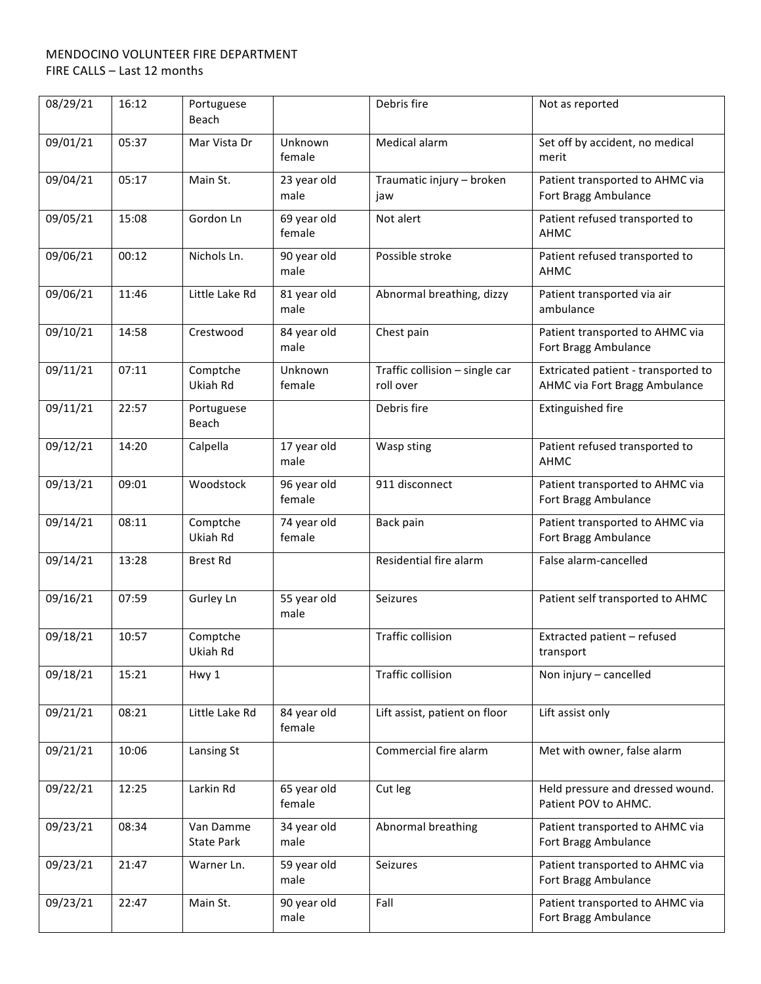| 08/29/21 | 16:12 | Portuguese<br>Beach            |                       | Debris fire                                 | Not as reported                                                      |
|----------|-------|--------------------------------|-----------------------|---------------------------------------------|----------------------------------------------------------------------|
| 09/01/21 | 05:37 | Mar Vista Dr                   | Unknown<br>female     | Medical alarm                               | Set off by accident, no medical<br>merit                             |
| 09/04/21 | 05:17 | Main St.                       | 23 year old<br>male   | Traumatic injury - broken<br>jaw            | Patient transported to AHMC via<br>Fort Bragg Ambulance              |
| 09/05/21 | 15:08 | Gordon Ln                      | 69 year old<br>female | Not alert                                   | Patient refused transported to<br><b>AHMC</b>                        |
| 09/06/21 | 00:12 | Nichols Ln.                    | 90 year old<br>male   | Possible stroke                             | Patient refused transported to<br>AHMC                               |
| 09/06/21 | 11:46 | Little Lake Rd                 | 81 year old<br>male   | Abnormal breathing, dizzy                   | Patient transported via air<br>ambulance                             |
| 09/10/21 | 14:58 | Crestwood                      | 84 year old<br>male   | Chest pain                                  | Patient transported to AHMC via<br>Fort Bragg Ambulance              |
| 09/11/21 | 07:11 | Comptche<br>Ukiah Rd           | Unknown<br>female     | Traffic collision - single car<br>roll over | Extricated patient - transported to<br>AHMC via Fort Bragg Ambulance |
| 09/11/21 | 22:57 | Portuguese<br>Beach            |                       | Debris fire                                 | <b>Extinguished fire</b>                                             |
| 09/12/21 | 14:20 | Calpella                       | 17 year old<br>male   | Wasp sting                                  | Patient refused transported to<br>AHMC                               |
| 09/13/21 | 09:01 | Woodstock                      | 96 year old<br>female | 911 disconnect                              | Patient transported to AHMC via<br>Fort Bragg Ambulance              |
| 09/14/21 | 08:11 | Comptche<br>Ukiah Rd           | 74 year old<br>female | Back pain                                   | Patient transported to AHMC via<br>Fort Bragg Ambulance              |
| 09/14/21 | 13:28 | <b>Brest Rd</b>                |                       | Residential fire alarm                      | False alarm-cancelled                                                |
| 09/16/21 | 07:59 | Gurley Ln                      | 55 year old<br>male   | <b>Seizures</b>                             | Patient self transported to AHMC                                     |
| 09/18/21 | 10:57 | Comptche<br>Ukiah Rd           |                       | <b>Traffic collision</b>                    | Extracted patient - refused<br>transport                             |
| 09/18/21 | 15:21 | Hwy 1                          |                       | Traffic collision                           | Non injury - cancelled                                               |
| 09/21/21 | 08:21 | Little Lake Rd                 | 84 year old<br>female | Lift assist, patient on floor               | Lift assist only                                                     |
| 09/21/21 | 10:06 | Lansing St                     |                       | Commercial fire alarm                       | Met with owner, false alarm                                          |
| 09/22/21 | 12:25 | Larkin Rd                      | 65 year old<br>female | Cut leg                                     | Held pressure and dressed wound.<br>Patient POV to AHMC.             |
| 09/23/21 | 08:34 | Van Damme<br><b>State Park</b> | 34 year old<br>male   | Abnormal breathing                          | Patient transported to AHMC via<br>Fort Bragg Ambulance              |
| 09/23/21 | 21:47 | Warner Ln.                     | 59 year old<br>male   | Seizures                                    | Patient transported to AHMC via<br>Fort Bragg Ambulance              |
| 09/23/21 | 22:47 | Main St.                       | 90 year old<br>male   | Fall                                        | Patient transported to AHMC via<br>Fort Bragg Ambulance              |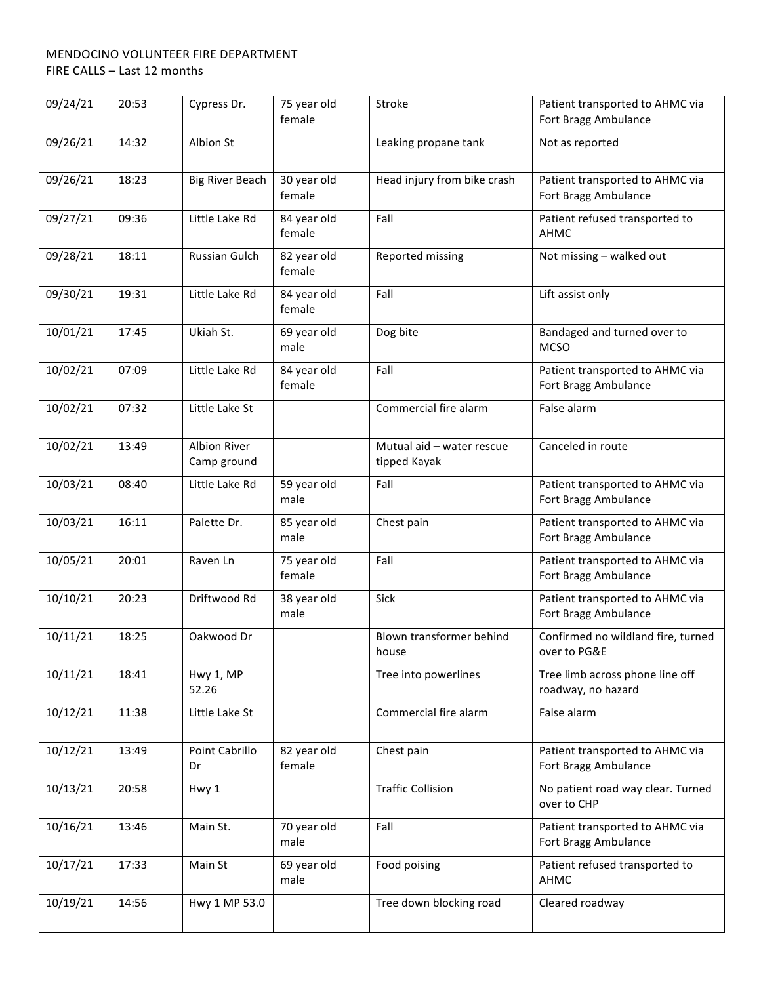| 09/24/21 | 20:53 | Cypress Dr.                        | 75 year old<br>female | Stroke                                    | Patient transported to AHMC via<br>Fort Bragg Ambulance |
|----------|-------|------------------------------------|-----------------------|-------------------------------------------|---------------------------------------------------------|
| 09/26/21 | 14:32 | Albion St                          |                       | Leaking propane tank                      | Not as reported                                         |
| 09/26/21 | 18:23 | <b>Big River Beach</b>             | 30 year old<br>female | Head injury from bike crash               | Patient transported to AHMC via<br>Fort Bragg Ambulance |
| 09/27/21 | 09:36 | Little Lake Rd                     | 84 year old<br>female | Fall                                      | Patient refused transported to<br>AHMC                  |
| 09/28/21 | 18:11 | Russian Gulch                      | 82 year old<br>female | Reported missing                          | Not missing - walked out                                |
| 09/30/21 | 19:31 | Little Lake Rd                     | 84 year old<br>female | Fall                                      | Lift assist only                                        |
| 10/01/21 | 17:45 | Ukiah St.                          | 69 year old<br>male   | Dog bite                                  | Bandaged and turned over to<br><b>MCSO</b>              |
| 10/02/21 | 07:09 | Little Lake Rd                     | 84 year old<br>female | Fall                                      | Patient transported to AHMC via<br>Fort Bragg Ambulance |
| 10/02/21 | 07:32 | Little Lake St                     |                       | Commercial fire alarm                     | False alarm                                             |
| 10/02/21 | 13:49 | <b>Albion River</b><br>Camp ground |                       | Mutual aid - water rescue<br>tipped Kayak | Canceled in route                                       |
| 10/03/21 | 08:40 | Little Lake Rd                     | 59 year old<br>male   | Fall                                      | Patient transported to AHMC via<br>Fort Bragg Ambulance |
| 10/03/21 | 16:11 | Palette Dr.                        | 85 year old<br>male   | Chest pain                                | Patient transported to AHMC via<br>Fort Bragg Ambulance |
| 10/05/21 | 20:01 | Raven Ln                           | 75 year old<br>female | Fall                                      | Patient transported to AHMC via<br>Fort Bragg Ambulance |
| 10/10/21 | 20:23 | Driftwood Rd                       | 38 year old<br>male   | Sick                                      | Patient transported to AHMC via<br>Fort Bragg Ambulance |
| 10/11/21 | 18:25 | Oakwood Dr                         |                       | Blown transformer behind<br>house         | Confirmed no wildland fire, turned<br>over to PG&E      |
| 10/11/21 | 18:41 | Hwy 1, MP<br>52.26                 |                       | Tree into powerlines                      | Tree limb across phone line off<br>roadway, no hazard   |
| 10/12/21 | 11:38 | Little Lake St                     |                       | Commercial fire alarm                     | False alarm                                             |
| 10/12/21 | 13:49 | Point Cabrillo<br>Dr               | 82 year old<br>female | Chest pain                                | Patient transported to AHMC via<br>Fort Bragg Ambulance |
| 10/13/21 | 20:58 | Hwy 1                              |                       | <b>Traffic Collision</b>                  | No patient road way clear. Turned<br>over to CHP        |
| 10/16/21 | 13:46 | Main St.                           | 70 year old<br>male   | Fall                                      | Patient transported to AHMC via<br>Fort Bragg Ambulance |
| 10/17/21 | 17:33 | Main St                            | 69 year old<br>male   | Food poising                              | Patient refused transported to<br>AHMC                  |
| 10/19/21 | 14:56 | Hwy 1 MP 53.0                      |                       | Tree down blocking road                   | Cleared roadway                                         |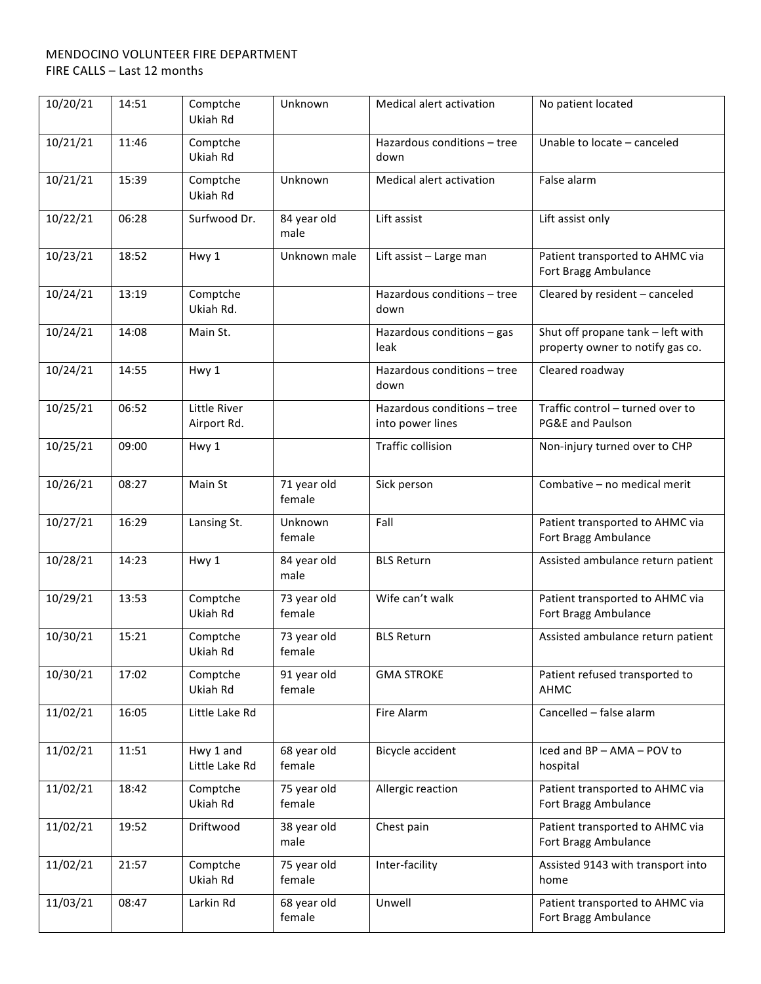| 10/20/21 | 14:51 | Comptche<br>Ukiah Rd        | Unknown               | Medical alert activation                        | No patient located                                                    |
|----------|-------|-----------------------------|-----------------------|-------------------------------------------------|-----------------------------------------------------------------------|
| 10/21/21 | 11:46 | Comptche<br>Ukiah Rd        |                       | Hazardous conditions - tree<br>down             | Unable to locate - canceled                                           |
| 10/21/21 | 15:39 | Comptche<br>Ukiah Rd        | Unknown               | Medical alert activation                        | False alarm                                                           |
| 10/22/21 | 06:28 | Surfwood Dr.                | 84 year old<br>male   | Lift assist                                     | Lift assist only                                                      |
| 10/23/21 | 18:52 | Hwy 1                       | Unknown male          | Lift assist - Large man                         | Patient transported to AHMC via<br>Fort Bragg Ambulance               |
| 10/24/21 | 13:19 | Comptche<br>Ukiah Rd.       |                       | Hazardous conditions - tree<br>down             | Cleared by resident - canceled                                        |
| 10/24/21 | 14:08 | Main St.                    |                       | Hazardous conditions - gas<br>leak              | Shut off propane tank - left with<br>property owner to notify gas co. |
| 10/24/21 | 14:55 | Hwy 1                       |                       | Hazardous conditions - tree<br>down             | Cleared roadway                                                       |
| 10/25/21 | 06:52 | Little River<br>Airport Rd. |                       | Hazardous conditions - tree<br>into power lines | Traffic control - turned over to<br>PG&E and Paulson                  |
| 10/25/21 | 09:00 | Hwy 1                       |                       | <b>Traffic collision</b>                        | Non-injury turned over to CHP                                         |
| 10/26/21 | 08:27 | Main St                     | 71 year old<br>female | Sick person                                     | Combative - no medical merit                                          |
| 10/27/21 | 16:29 | Lansing St.                 | Unknown<br>female     | Fall                                            | Patient transported to AHMC via<br>Fort Bragg Ambulance               |
| 10/28/21 | 14:23 | Hwy 1                       | 84 year old<br>male   | <b>BLS Return</b>                               | Assisted ambulance return patient                                     |
| 10/29/21 | 13:53 | Comptche<br>Ukiah Rd        | 73 year old<br>female | Wife can't walk                                 | Patient transported to AHMC via<br>Fort Bragg Ambulance               |
| 10/30/21 | 15:21 | Comptche<br>Ukiah Rd        | 73 year old<br>female | <b>BLS Return</b>                               | Assisted ambulance return patient                                     |
| 10/30/21 | 17:02 | Comptche<br>Ukiah Rd        | 91 year old<br>female | <b>GMA STROKE</b>                               | Patient refused transported to<br><b>AHMC</b>                         |
| 11/02/21 | 16:05 | Little Lake Rd              |                       | Fire Alarm                                      | Cancelled - false alarm                                               |
| 11/02/21 | 11:51 | Hwy 1 and<br>Little Lake Rd | 68 year old<br>female | <b>Bicycle accident</b>                         | Iced and BP - AMA - POV to<br>hospital                                |
| 11/02/21 | 18:42 | Comptche<br>Ukiah Rd        | 75 year old<br>female | Allergic reaction                               | Patient transported to AHMC via<br>Fort Bragg Ambulance               |
| 11/02/21 | 19:52 | Driftwood                   | 38 year old<br>male   | Chest pain                                      | Patient transported to AHMC via<br>Fort Bragg Ambulance               |
| 11/02/21 | 21:57 | Comptche<br>Ukiah Rd        | 75 year old<br>female | Inter-facility                                  | Assisted 9143 with transport into<br>home                             |
| 11/03/21 | 08:47 | Larkin Rd                   | 68 year old<br>female | Unwell                                          | Patient transported to AHMC via<br>Fort Bragg Ambulance               |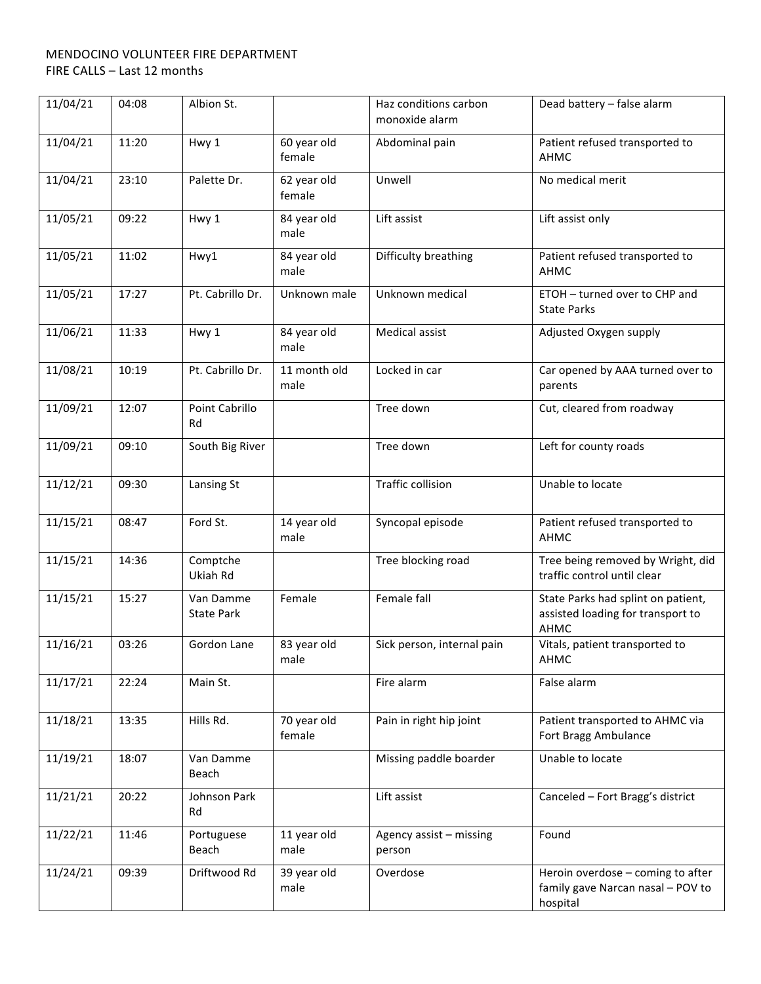| 11/04/21 | 04:08 | Albion St.                     |                       | Haz conditions carbon<br>monoxide alarm | Dead battery - false alarm                                                         |
|----------|-------|--------------------------------|-----------------------|-----------------------------------------|------------------------------------------------------------------------------------|
| 11/04/21 | 11:20 | Hwy 1                          | 60 year old<br>female | Abdominal pain                          | Patient refused transported to<br><b>AHMC</b>                                      |
| 11/04/21 | 23:10 | Palette Dr.                    | 62 year old<br>female | Unwell                                  | No medical merit                                                                   |
| 11/05/21 | 09:22 | Hwy 1                          | 84 year old<br>male   | Lift assist                             | Lift assist only                                                                   |
| 11/05/21 | 11:02 | Hwy1                           | 84 year old<br>male   | Difficulty breathing                    | Patient refused transported to<br>AHMC                                             |
| 11/05/21 | 17:27 | Pt. Cabrillo Dr.               | Unknown male          | Unknown medical                         | ETOH - turned over to CHP and<br><b>State Parks</b>                                |
| 11/06/21 | 11:33 | Hwy 1                          | 84 year old<br>male   | Medical assist                          | Adjusted Oxygen supply                                                             |
| 11/08/21 | 10:19 | Pt. Cabrillo Dr.               | 11 month old<br>male  | Locked in car                           | Car opened by AAA turned over to<br>parents                                        |
| 11/09/21 | 12:07 | Point Cabrillo<br>Rd           |                       | Tree down                               | Cut, cleared from roadway                                                          |
| 11/09/21 | 09:10 | South Big River                |                       | Tree down                               | Left for county roads                                                              |
| 11/12/21 | 09:30 | Lansing St                     |                       | <b>Traffic collision</b>                | Unable to locate                                                                   |
| 11/15/21 | 08:47 | Ford St.                       | 14 year old<br>male   | Syncopal episode                        | Patient refused transported to<br>АНМС                                             |
| 11/15/21 | 14:36 | Comptche<br>Ukiah Rd           |                       | Tree blocking road                      | Tree being removed by Wright, did<br>traffic control until clear                   |
| 11/15/21 | 15:27 | Van Damme<br><b>State Park</b> | Female                | Female fall                             | State Parks had splint on patient,<br>assisted loading for transport to<br>AHMC    |
| 11/16/21 | 03:26 | Gordon Lane                    | 83 year old<br>male   | Sick person, internal pain              | Vitals, patient transported to<br>AHMC                                             |
| 11/17/21 | 22:24 | Main St.                       |                       | Fire alarm                              | False alarm                                                                        |
| 11/18/21 | 13:35 | Hills Rd.                      | 70 year old<br>female | Pain in right hip joint                 | Patient transported to AHMC via<br>Fort Bragg Ambulance                            |
| 11/19/21 | 18:07 | Van Damme<br>Beach             |                       | Missing paddle boarder                  | Unable to locate                                                                   |
| 11/21/21 | 20:22 | Johnson Park<br>Rd             |                       | Lift assist                             | Canceled - Fort Bragg's district                                                   |
| 11/22/21 | 11:46 | Portuguese<br>Beach            | 11 year old<br>male   | Agency assist - missing<br>person       | Found                                                                              |
| 11/24/21 | 09:39 | Driftwood Rd                   | 39 year old<br>male   | Overdose                                | Heroin overdose - coming to after<br>family gave Narcan nasal - POV to<br>hospital |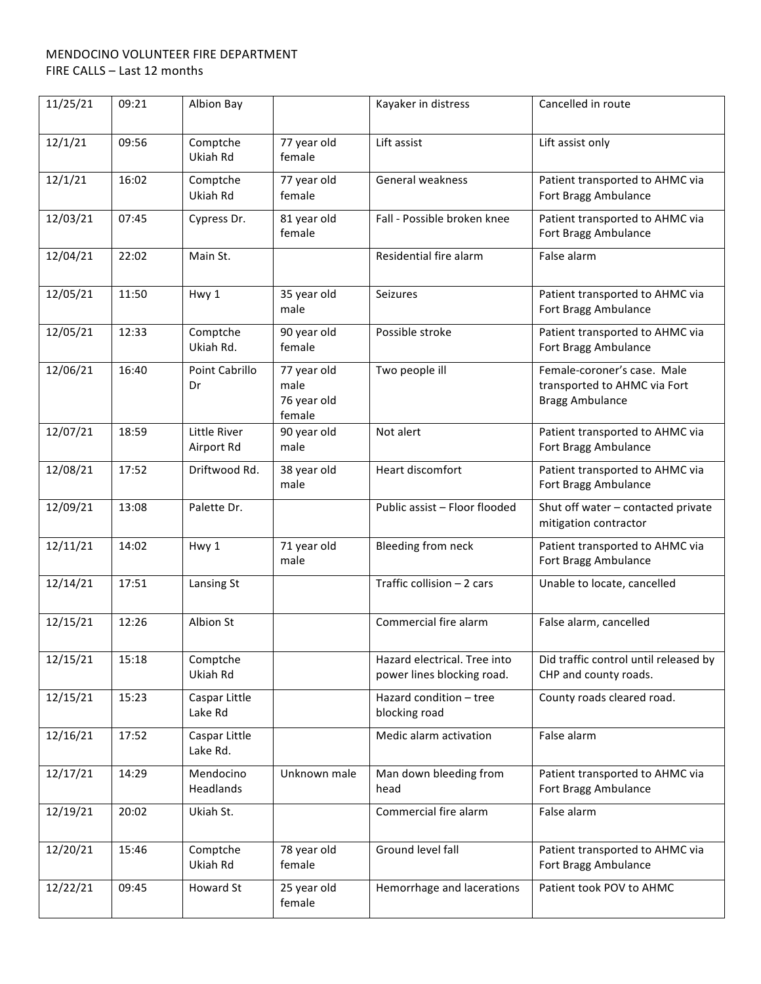| 11/25/21 | 09:21 | Albion Bay                 |                                              | Kayaker in distress                                        | Cancelled in route                                                                    |
|----------|-------|----------------------------|----------------------------------------------|------------------------------------------------------------|---------------------------------------------------------------------------------------|
| 12/1/21  | 09:56 | Comptche<br>Ukiah Rd       | 77 year old<br>female                        | Lift assist                                                | Lift assist only                                                                      |
| 12/1/21  | 16:02 | Comptche<br>Ukiah Rd       | 77 year old<br>female                        | General weakness                                           | Patient transported to AHMC via<br>Fort Bragg Ambulance                               |
| 12/03/21 | 07:45 | Cypress Dr.                | 81 year old<br>female                        | Fall - Possible broken knee                                | Patient transported to AHMC via<br>Fort Bragg Ambulance                               |
| 12/04/21 | 22:02 | Main St.                   |                                              | Residential fire alarm                                     | False alarm                                                                           |
| 12/05/21 | 11:50 | Hwy 1                      | 35 year old<br>male                          | <b>Seizures</b>                                            | Patient transported to AHMC via<br>Fort Bragg Ambulance                               |
| 12/05/21 | 12:33 | Comptche<br>Ukiah Rd.      | 90 year old<br>female                        | Possible stroke                                            | Patient transported to AHMC via<br>Fort Bragg Ambulance                               |
| 12/06/21 | 16:40 | Point Cabrillo<br>Dr       | 77 year old<br>male<br>76 year old<br>female | Two people ill                                             | Female-coroner's case. Male<br>transported to AHMC via Fort<br><b>Bragg Ambulance</b> |
| 12/07/21 | 18:59 | Little River<br>Airport Rd | 90 year old<br>male                          | Not alert                                                  | Patient transported to AHMC via<br>Fort Bragg Ambulance                               |
| 12/08/21 | 17:52 | Driftwood Rd.              | 38 year old<br>male                          | Heart discomfort                                           | Patient transported to AHMC via<br>Fort Bragg Ambulance                               |
| 12/09/21 | 13:08 | Palette Dr.                |                                              | Public assist - Floor flooded                              | Shut off water - contacted private<br>mitigation contractor                           |
| 12/11/21 | 14:02 | Hwy 1                      | 71 year old<br>male                          | Bleeding from neck                                         | Patient transported to AHMC via<br>Fort Bragg Ambulance                               |
| 12/14/21 | 17:51 | Lansing St                 |                                              | Traffic collision - 2 cars                                 | Unable to locate, cancelled                                                           |
| 12/15/21 | 12:26 | Albion St                  |                                              | Commercial fire alarm                                      | False alarm, cancelled                                                                |
| 12/15/21 | 15:18 | Comptche<br>Ukiah Rd       |                                              | Hazard electrical. Tree into<br>power lines blocking road. | Did traffic control until released by<br>CHP and county roads.                        |
| 12/15/21 | 15:23 | Caspar Little<br>Lake Rd   |                                              | Hazard condition - tree<br>blocking road                   | County roads cleared road.                                                            |
| 12/16/21 | 17:52 | Caspar Little<br>Lake Rd.  |                                              | Medic alarm activation                                     | False alarm                                                                           |
| 12/17/21 | 14:29 | Mendocino<br>Headlands     | Unknown male                                 | Man down bleeding from<br>head                             | Patient transported to AHMC via<br>Fort Bragg Ambulance                               |
| 12/19/21 | 20:02 | Ukiah St.                  |                                              | Commercial fire alarm                                      | False alarm                                                                           |
| 12/20/21 | 15:46 | Comptche<br>Ukiah Rd       | 78 year old<br>female                        | Ground level fall                                          | Patient transported to AHMC via<br>Fort Bragg Ambulance                               |
| 12/22/21 | 09:45 | Howard St                  | 25 year old<br>female                        | Hemorrhage and lacerations                                 | Patient took POV to AHMC                                                              |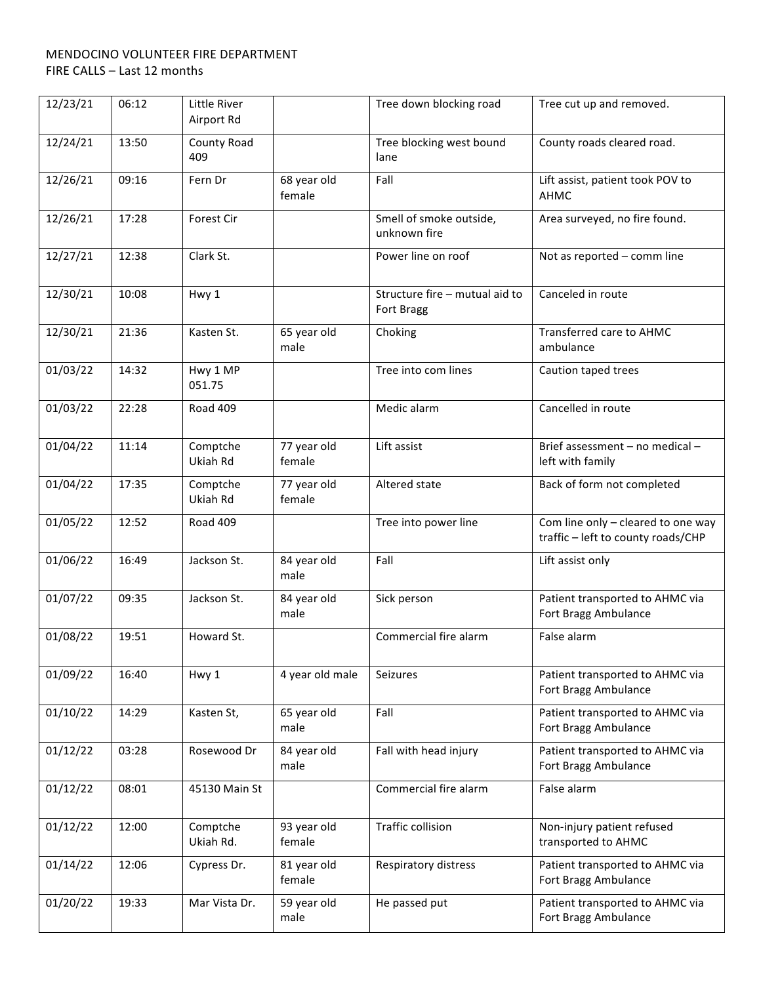| 12/23/21 | 06:12 | Little River<br>Airport Rd |                       | Tree down blocking road                      | Tree cut up and removed.                                                 |
|----------|-------|----------------------------|-----------------------|----------------------------------------------|--------------------------------------------------------------------------|
| 12/24/21 | 13:50 | County Road<br>409         |                       | Tree blocking west bound<br>lane             | County roads cleared road.                                               |
| 12/26/21 | 09:16 | Fern Dr                    | 68 year old<br>female | Fall                                         | Lift assist, patient took POV to<br>AHMC                                 |
| 12/26/21 | 17:28 | Forest Cir                 |                       | Smell of smoke outside,<br>unknown fire      | Area surveyed, no fire found.                                            |
| 12/27/21 | 12:38 | Clark St.                  |                       | Power line on roof                           | Not as reported - comm line                                              |
| 12/30/21 | 10:08 | Hwy 1                      |                       | Structure fire - mutual aid to<br>Fort Bragg | Canceled in route                                                        |
| 12/30/21 | 21:36 | Kasten St.                 | 65 year old<br>male   | Choking                                      | Transferred care to AHMC<br>ambulance                                    |
| 01/03/22 | 14:32 | Hwy 1 MP<br>051.75         |                       | Tree into com lines                          | Caution taped trees                                                      |
| 01/03/22 | 22:28 | Road 409                   |                       | Medic alarm                                  | Cancelled in route                                                       |
| 01/04/22 | 11:14 | Comptche<br>Ukiah Rd       | 77 year old<br>female | Lift assist                                  | Brief assessment - no medical -<br>left with family                      |
| 01/04/22 | 17:35 | Comptche<br>Ukiah Rd       | 77 year old<br>female | Altered state                                | Back of form not completed                                               |
| 01/05/22 | 12:52 | Road 409                   |                       | Tree into power line                         | Com line only - cleared to one way<br>traffic - left to county roads/CHP |
| 01/06/22 | 16:49 | Jackson St.                | 84 year old<br>male   | Fall                                         | Lift assist only                                                         |
| 01/07/22 | 09:35 | Jackson St.                | 84 year old<br>male   | Sick person                                  | Patient transported to AHMC via<br>Fort Bragg Ambulance                  |
| 01/08/22 | 19:51 | Howard St.                 |                       | Commercial fire alarm                        | False alarm                                                              |
| 01/09/22 | 16:40 | Hwy 1                      | 4 year old male       | Seizures                                     | Patient transported to AHMC via<br>Fort Bragg Ambulance                  |
| 01/10/22 | 14:29 | Kasten St,                 | 65 year old<br>male   | Fall                                         | Patient transported to AHMC via<br>Fort Bragg Ambulance                  |
| 01/12/22 | 03:28 | Rosewood Dr                | 84 year old<br>male   | Fall with head injury                        | Patient transported to AHMC via<br>Fort Bragg Ambulance                  |
| 01/12/22 | 08:01 | 45130 Main St              |                       | Commercial fire alarm                        | False alarm                                                              |
| 01/12/22 | 12:00 | Comptche<br>Ukiah Rd.      | 93 year old<br>female | <b>Traffic collision</b>                     | Non-injury patient refused<br>transported to AHMC                        |
| 01/14/22 | 12:06 | Cypress Dr.                | 81 year old<br>female | Respiratory distress                         | Patient transported to AHMC via<br>Fort Bragg Ambulance                  |
| 01/20/22 | 19:33 | Mar Vista Dr.              | 59 year old<br>male   | He passed put                                | Patient transported to AHMC via<br>Fort Bragg Ambulance                  |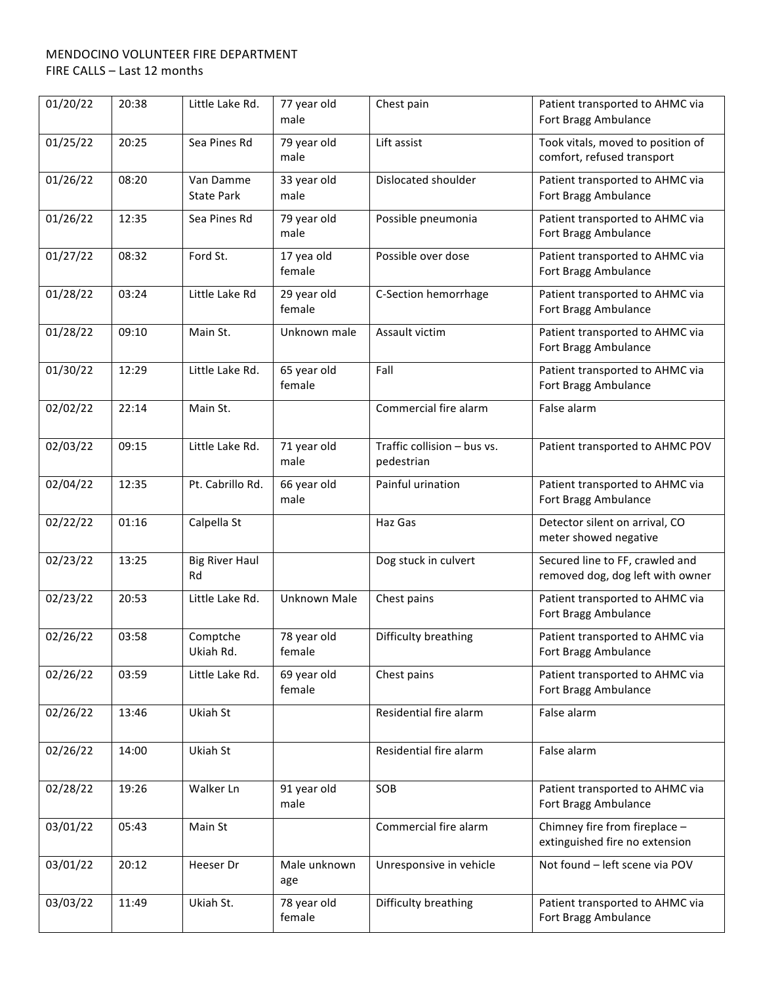| 01/20/22 | 20:38 | Little Lake Rd.                | 77 year old<br>male   | Chest pain                                | Patient transported to AHMC via<br>Fort Bragg Ambulance             |
|----------|-------|--------------------------------|-----------------------|-------------------------------------------|---------------------------------------------------------------------|
| 01/25/22 | 20:25 | Sea Pines Rd                   | 79 year old<br>male   | Lift assist                               | Took vitals, moved to position of<br>comfort, refused transport     |
| 01/26/22 | 08:20 | Van Damme<br><b>State Park</b> | 33 year old<br>male   | Dislocated shoulder                       | Patient transported to AHMC via<br>Fort Bragg Ambulance             |
| 01/26/22 | 12:35 | Sea Pines Rd                   | 79 year old<br>male   | Possible pneumonia                        | Patient transported to AHMC via<br>Fort Bragg Ambulance             |
| 01/27/22 | 08:32 | Ford St.                       | 17 yea old<br>female  | Possible over dose                        | Patient transported to AHMC via<br>Fort Bragg Ambulance             |
| 01/28/22 | 03:24 | Little Lake Rd                 | 29 year old<br>female | C-Section hemorrhage                      | Patient transported to AHMC via<br>Fort Bragg Ambulance             |
| 01/28/22 | 09:10 | Main St.                       | Unknown male          | Assault victim                            | Patient transported to AHMC via<br>Fort Bragg Ambulance             |
| 01/30/22 | 12:29 | Little Lake Rd.                | 65 year old<br>female | Fall                                      | Patient transported to AHMC via<br>Fort Bragg Ambulance             |
| 02/02/22 | 22:14 | Main St.                       |                       | Commercial fire alarm                     | False alarm                                                         |
| 02/03/22 | 09:15 | Little Lake Rd.                | 71 year old<br>male   | Traffic collision - bus vs.<br>pedestrian | Patient transported to AHMC POV                                     |
| 02/04/22 | 12:35 | Pt. Cabrillo Rd.               | 66 year old<br>male   | Painful urination                         | Patient transported to AHMC via<br>Fort Bragg Ambulance             |
| 02/22/22 | 01:16 | Calpella St                    |                       | Haz Gas                                   | Detector silent on arrival, CO<br>meter showed negative             |
| 02/23/22 | 13:25 | <b>Big River Haul</b><br>Rd    |                       | Dog stuck in culvert                      | Secured line to FF, crawled and<br>removed dog, dog left with owner |
| 02/23/22 | 20:53 | Little Lake Rd.                | Unknown Male          | Chest pains                               | Patient transported to AHMC via<br>Fort Bragg Ambulance             |
| 02/26/22 | 03:58 | Comptche<br>Ukiah Rd.          | 78 year old<br>female | Difficulty breathing                      | Patient transported to AHMC via<br>Fort Bragg Ambulance             |
| 02/26/22 | 03:59 | Little Lake Rd.                | 69 year old<br>female | Chest pains                               | Patient transported to AHMC via<br>Fort Bragg Ambulance             |
| 02/26/22 | 13:46 | Ukiah St                       |                       | Residential fire alarm                    | False alarm                                                         |
| 02/26/22 | 14:00 | Ukiah St                       |                       | Residential fire alarm                    | False alarm                                                         |
| 02/28/22 | 19:26 | Walker Ln                      | 91 year old<br>male   | SOB                                       | Patient transported to AHMC via<br>Fort Bragg Ambulance             |
| 03/01/22 | 05:43 | Main St                        |                       | Commercial fire alarm                     | Chimney fire from fireplace -<br>extinguished fire no extension     |
| 03/01/22 | 20:12 | Heeser Dr                      | Male unknown<br>age   | Unresponsive in vehicle                   | Not found - left scene via POV                                      |
| 03/03/22 | 11:49 | Ukiah St.                      | 78 year old<br>female | Difficulty breathing                      | Patient transported to AHMC via<br>Fort Bragg Ambulance             |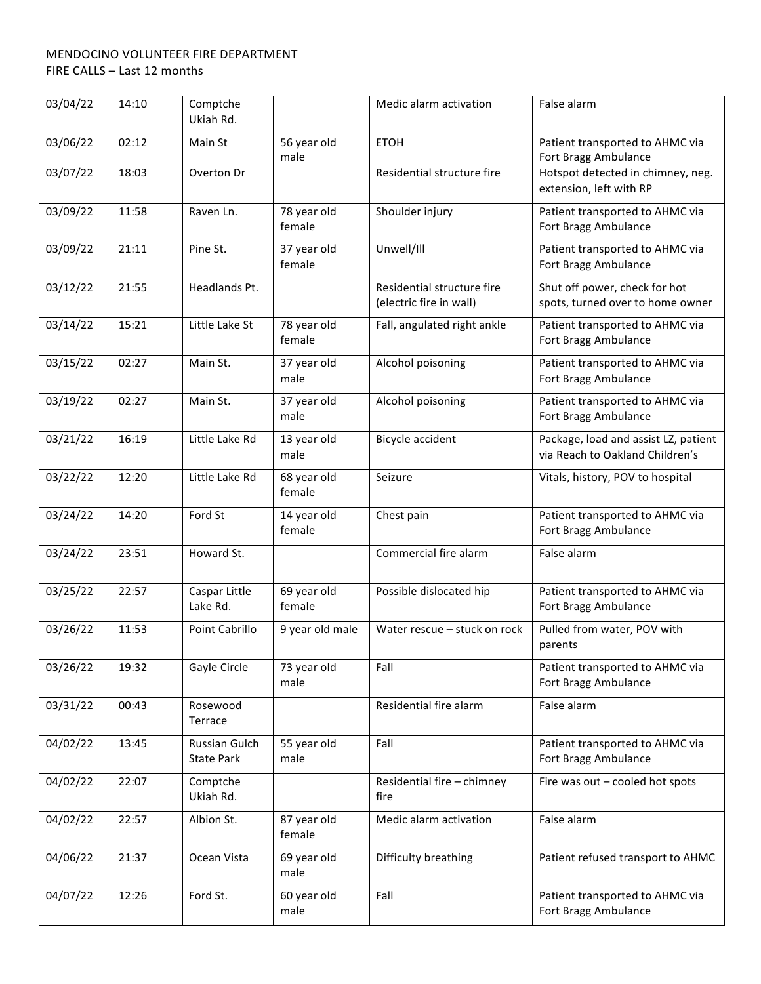| 03/04/22 | 14:10 | Comptche<br>Ukiah Rd.              |                       | Medic alarm activation                                | False alarm                                                             |
|----------|-------|------------------------------------|-----------------------|-------------------------------------------------------|-------------------------------------------------------------------------|
| 03/06/22 | 02:12 | Main St                            | 56 year old<br>male   | <b>ETOH</b>                                           | Patient transported to AHMC via<br>Fort Bragg Ambulance                 |
| 03/07/22 | 18:03 | Overton Dr                         |                       | Residential structure fire                            | Hotspot detected in chimney, neg.<br>extension, left with RP            |
| 03/09/22 | 11:58 | Raven Ln.                          | 78 year old<br>female | Shoulder injury                                       | Patient transported to AHMC via<br>Fort Bragg Ambulance                 |
| 03/09/22 | 21:11 | Pine St.                           | 37 year old<br>female | Unwell/III                                            | Patient transported to AHMC via<br>Fort Bragg Ambulance                 |
| 03/12/22 | 21:55 | Headlands Pt.                      |                       | Residential structure fire<br>(electric fire in wall) | Shut off power, check for hot<br>spots, turned over to home owner       |
| 03/14/22 | 15:21 | Little Lake St                     | 78 year old<br>female | Fall, angulated right ankle                           | Patient transported to AHMC via<br>Fort Bragg Ambulance                 |
| 03/15/22 | 02:27 | Main St.                           | 37 year old<br>male   | Alcohol poisoning                                     | Patient transported to AHMC via<br>Fort Bragg Ambulance                 |
| 03/19/22 | 02:27 | Main St.                           | 37 year old<br>male   | Alcohol poisoning                                     | Patient transported to AHMC via<br>Fort Bragg Ambulance                 |
| 03/21/22 | 16:19 | Little Lake Rd                     | 13 year old<br>male   | Bicycle accident                                      | Package, load and assist LZ, patient<br>via Reach to Oakland Children's |
| 03/22/22 | 12:20 | Little Lake Rd                     | 68 year old<br>female | Seizure                                               | Vitals, history, POV to hospital                                        |
| 03/24/22 | 14:20 | Ford St                            | 14 year old<br>female | Chest pain                                            | Patient transported to AHMC via<br>Fort Bragg Ambulance                 |
| 03/24/22 | 23:51 | Howard St.                         |                       | Commercial fire alarm                                 | False alarm                                                             |
| 03/25/22 | 22:57 | Caspar Little<br>Lake Rd.          | 69 year old<br>female | Possible dislocated hip                               | Patient transported to AHMC via<br>Fort Bragg Ambulance                 |
| 03/26/22 | 11:53 | Point Cabrillo                     | 9 year old male       | Water rescue - stuck on rock                          | Pulled from water, POV with<br>parents                                  |
| 03/26/22 | 19:32 | Gayle Circle                       | 73 year old<br>male   | Fall                                                  | Patient transported to AHMC via<br>Fort Bragg Ambulance                 |
| 03/31/22 | 00:43 | Rosewood<br>Terrace                |                       | Residential fire alarm                                | False alarm                                                             |
| 04/02/22 | 13:45 | Russian Gulch<br><b>State Park</b> | 55 year old<br>male   | Fall                                                  | Patient transported to AHMC via<br>Fort Bragg Ambulance                 |
| 04/02/22 | 22:07 | Comptche<br>Ukiah Rd.              |                       | Residential fire - chimney<br>fire                    | Fire was out - cooled hot spots                                         |
| 04/02/22 | 22:57 | Albion St.                         | 87 year old<br>female | Medic alarm activation                                | False alarm                                                             |
| 04/06/22 | 21:37 | Ocean Vista                        | 69 year old<br>male   | Difficulty breathing                                  | Patient refused transport to AHMC                                       |
| 04/07/22 | 12:26 | Ford St.                           | 60 year old<br>male   | Fall                                                  | Patient transported to AHMC via<br>Fort Bragg Ambulance                 |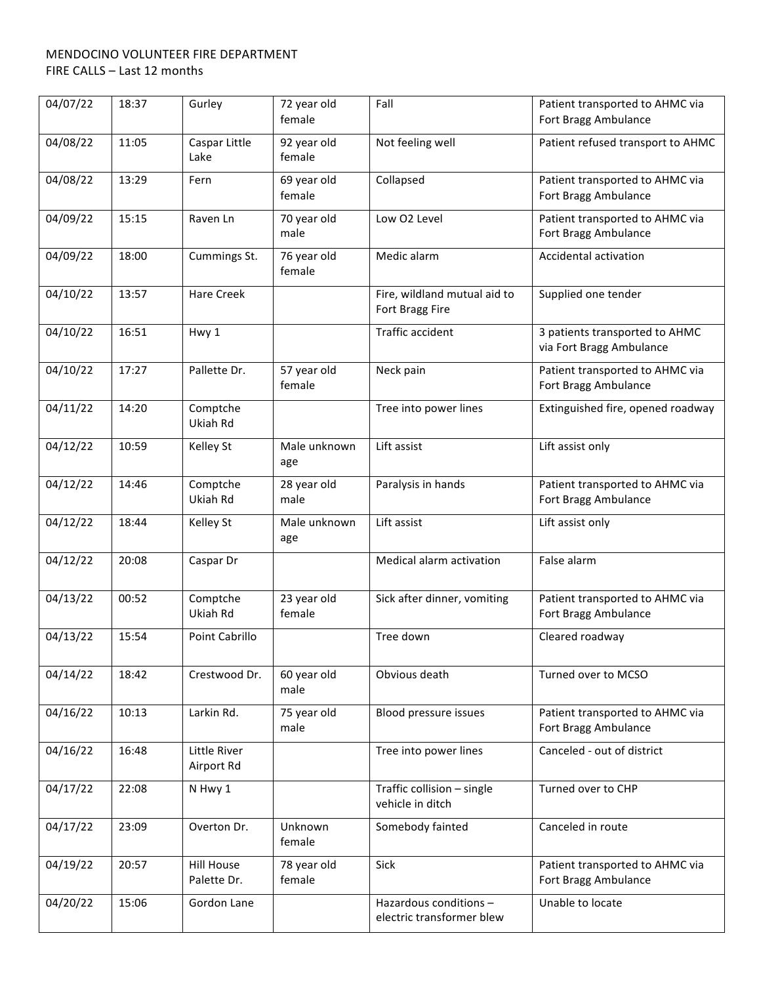| 04/07/22 | 18:37 | Gurley                           | 72 year old<br>female | Fall                                                | Patient transported to AHMC via<br>Fort Bragg Ambulance    |
|----------|-------|----------------------------------|-----------------------|-----------------------------------------------------|------------------------------------------------------------|
| 04/08/22 | 11:05 | Caspar Little<br>Lake            | 92 year old<br>female | Not feeling well                                    | Patient refused transport to AHMC                          |
| 04/08/22 | 13:29 | Fern                             | 69 year old<br>female | Collapsed                                           | Patient transported to AHMC via<br>Fort Bragg Ambulance    |
| 04/09/22 | 15:15 | Raven Ln                         | 70 year old<br>male   | Low O2 Level                                        | Patient transported to AHMC via<br>Fort Bragg Ambulance    |
| 04/09/22 | 18:00 | Cummings St.                     | 76 year old<br>female | Medic alarm                                         | Accidental activation                                      |
| 04/10/22 | 13:57 | <b>Hare Creek</b>                |                       | Fire, wildland mutual aid to<br>Fort Bragg Fire     | Supplied one tender                                        |
| 04/10/22 | 16:51 | Hwy 1                            |                       | Traffic accident                                    | 3 patients transported to AHMC<br>via Fort Bragg Ambulance |
| 04/10/22 | 17:27 | Pallette Dr.                     | 57 year old<br>female | Neck pain                                           | Patient transported to AHMC via<br>Fort Bragg Ambulance    |
| 04/11/22 | 14:20 | Comptche<br>Ukiah Rd             |                       | Tree into power lines                               | Extinguished fire, opened roadway                          |
| 04/12/22 | 10:59 | Kelley St                        | Male unknown<br>age   | Lift assist                                         | Lift assist only                                           |
| 04/12/22 | 14:46 | Comptche<br>Ukiah Rd             | 28 year old<br>male   | Paralysis in hands                                  | Patient transported to AHMC via<br>Fort Bragg Ambulance    |
| 04/12/22 | 18:44 | Kelley St                        | Male unknown<br>age   | Lift assist                                         | Lift assist only                                           |
| 04/12/22 | 20:08 | Caspar Dr                        |                       | Medical alarm activation                            | False alarm                                                |
| 04/13/22 | 00:52 | Comptche<br>Ukiah Rd             | 23 year old<br>female | Sick after dinner, vomiting                         | Patient transported to AHMC via<br>Fort Bragg Ambulance    |
| 04/13/22 | 15:54 | Point Cabrillo                   |                       | Tree down                                           | Cleared roadway                                            |
| 04/14/22 | 18:42 | Crestwood Dr.                    | 60 year old<br>male   | Obvious death                                       | Turned over to MCSO                                        |
| 04/16/22 | 10:13 | Larkin Rd.                       | 75 year old<br>male   | Blood pressure issues                               | Patient transported to AHMC via<br>Fort Bragg Ambulance    |
| 04/16/22 | 16:48 | Little River<br>Airport Rd       |                       | Tree into power lines                               | Canceled - out of district                                 |
| 04/17/22 | 22:08 | N Hwy 1                          |                       | Traffic collision - single<br>vehicle in ditch      | Turned over to CHP                                         |
| 04/17/22 | 23:09 | Overton Dr.                      | Unknown<br>female     | Somebody fainted                                    | Canceled in route                                          |
| 04/19/22 | 20:57 | <b>Hill House</b><br>Palette Dr. | 78 year old<br>female | Sick                                                | Patient transported to AHMC via<br>Fort Bragg Ambulance    |
| 04/20/22 | 15:06 | Gordon Lane                      |                       | Hazardous conditions -<br>electric transformer blew | Unable to locate                                           |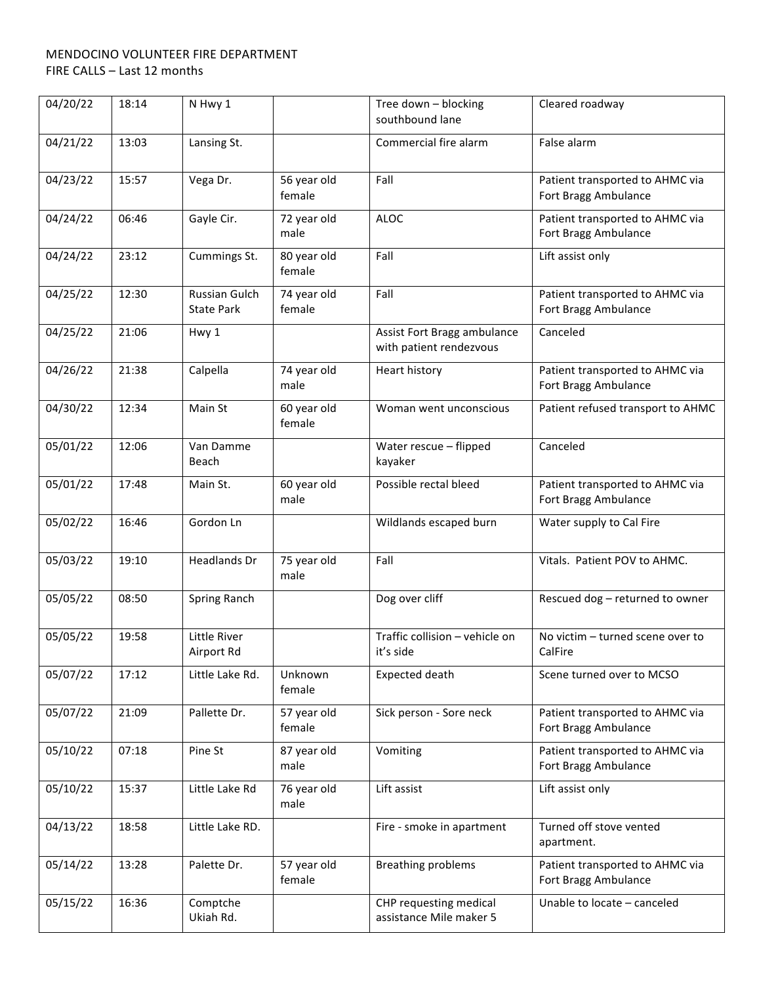| 04/20/22 | 18:14 | N Hwy 1                            |                       | Tree down - blocking<br>southbound lane                | Cleared roadway                                         |
|----------|-------|------------------------------------|-----------------------|--------------------------------------------------------|---------------------------------------------------------|
| 04/21/22 | 13:03 | Lansing St.                        |                       | Commercial fire alarm                                  | False alarm                                             |
| 04/23/22 | 15:57 | Vega Dr.                           | 56 year old<br>female | Fall                                                   | Patient transported to AHMC via<br>Fort Bragg Ambulance |
| 04/24/22 | 06:46 | Gayle Cir.                         | 72 year old<br>male   | <b>ALOC</b>                                            | Patient transported to AHMC via<br>Fort Bragg Ambulance |
| 04/24/22 | 23:12 | Cummings St.                       | 80 year old<br>female | Fall                                                   | Lift assist only                                        |
| 04/25/22 | 12:30 | Russian Gulch<br><b>State Park</b> | 74 year old<br>female | Fall                                                   | Patient transported to AHMC via<br>Fort Bragg Ambulance |
| 04/25/22 | 21:06 | Hwy 1                              |                       | Assist Fort Bragg ambulance<br>with patient rendezvous | Canceled                                                |
| 04/26/22 | 21:38 | Calpella                           | 74 year old<br>male   | Heart history                                          | Patient transported to AHMC via<br>Fort Bragg Ambulance |
| 04/30/22 | 12:34 | Main St                            | 60 year old<br>female | Woman went unconscious                                 | Patient refused transport to AHMC                       |
| 05/01/22 | 12:06 | Van Damme<br>Beach                 |                       | Water rescue - flipped<br>kayaker                      | Canceled                                                |
| 05/01/22 | 17:48 | Main St.                           | 60 year old<br>male   | Possible rectal bleed                                  | Patient transported to AHMC via<br>Fort Bragg Ambulance |
| 05/02/22 | 16:46 | Gordon Ln                          |                       | Wildlands escaped burn                                 | Water supply to Cal Fire                                |
| 05/03/22 | 19:10 | Headlands Dr                       | 75 year old<br>male   | Fall                                                   | Vitals. Patient POV to AHMC.                            |
| 05/05/22 | 08:50 | Spring Ranch                       |                       | Dog over cliff                                         | Rescued dog - returned to owner                         |
| 05/05/22 | 19:58 | Little River<br>Airport Rd         |                       | Traffic collision - vehicle on<br>it's side            | No victim - turned scene over to<br>CalFire             |
| 05/07/22 | 17:12 | Little Lake Rd.                    | Unknown<br>female     | Expected death                                         | Scene turned over to MCSO                               |
| 05/07/22 | 21:09 | Pallette Dr.                       | 57 year old<br>female | Sick person - Sore neck                                | Patient transported to AHMC via<br>Fort Bragg Ambulance |
| 05/10/22 | 07:18 | Pine St                            | 87 year old<br>male   | Vomiting                                               | Patient transported to AHMC via<br>Fort Bragg Ambulance |
| 05/10/22 | 15:37 | Little Lake Rd                     | 76 year old<br>male   | Lift assist                                            | Lift assist only                                        |
| 04/13/22 | 18:58 | Little Lake RD.                    |                       | Fire - smoke in apartment                              | Turned off stove vented<br>apartment.                   |
| 05/14/22 | 13:28 | Palette Dr.                        | 57 year old<br>female | <b>Breathing problems</b>                              | Patient transported to AHMC via<br>Fort Bragg Ambulance |
| 05/15/22 | 16:36 | Comptche<br>Ukiah Rd.              |                       | CHP requesting medical<br>assistance Mile maker 5      | Unable to locate - canceled                             |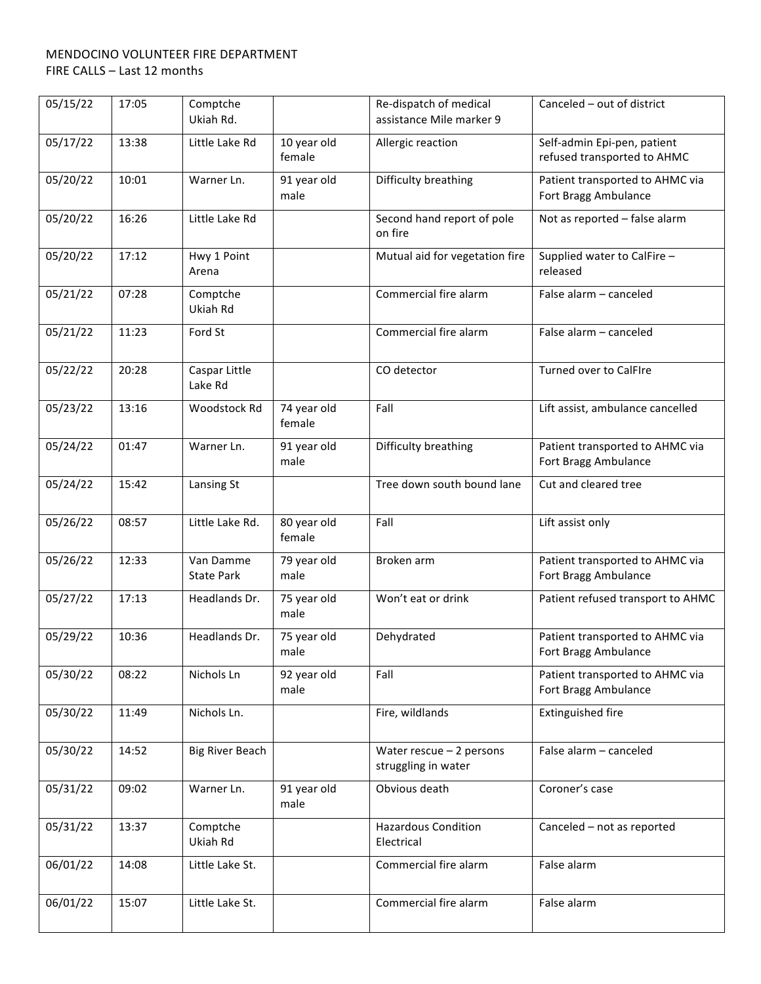| 05/15/22 | 17:05 | Comptche<br>Ukiah Rd.          |                       | Re-dispatch of medical<br>assistance Mile marker 9 | Canceled - out of district                                 |
|----------|-------|--------------------------------|-----------------------|----------------------------------------------------|------------------------------------------------------------|
| 05/17/22 | 13:38 | Little Lake Rd                 | 10 year old<br>female | Allergic reaction                                  | Self-admin Epi-pen, patient<br>refused transported to AHMC |
| 05/20/22 | 10:01 | Warner Ln.                     | 91 year old<br>male   | Difficulty breathing                               | Patient transported to AHMC via<br>Fort Bragg Ambulance    |
| 05/20/22 | 16:26 | Little Lake Rd                 |                       | Second hand report of pole<br>on fire              | Not as reported - false alarm                              |
| 05/20/22 | 17:12 | Hwy 1 Point<br>Arena           |                       | Mutual aid for vegetation fire                     | Supplied water to CalFire -<br>released                    |
| 05/21/22 | 07:28 | Comptche<br>Ukiah Rd           |                       | Commercial fire alarm                              | False alarm - canceled                                     |
| 05/21/22 | 11:23 | Ford St                        |                       | Commercial fire alarm                              | False alarm - canceled                                     |
| 05/22/22 | 20:28 | Caspar Little<br>Lake Rd       |                       | CO detector                                        | <b>Turned over to CalFIre</b>                              |
| 05/23/22 | 13:16 | Woodstock Rd                   | 74 year old<br>female | Fall                                               | Lift assist, ambulance cancelled                           |
| 05/24/22 | 01:47 | Warner Ln.                     | 91 year old<br>male   | Difficulty breathing                               | Patient transported to AHMC via<br>Fort Bragg Ambulance    |
| 05/24/22 | 15:42 | Lansing St                     |                       | Tree down south bound lane                         | Cut and cleared tree                                       |
| 05/26/22 | 08:57 | Little Lake Rd.                | 80 year old<br>female | Fall                                               | Lift assist only                                           |
| 05/26/22 | 12:33 | Van Damme<br><b>State Park</b> | 79 year old<br>male   | Broken arm                                         | Patient transported to AHMC via<br>Fort Bragg Ambulance    |
| 05/27/22 | 17:13 | Headlands Dr.                  | 75 year old<br>male   | Won't eat or drink                                 | Patient refused transport to AHMC                          |
| 05/29/22 | 10:36 | Headlands Dr.                  | 75 year old<br>male   | Dehydrated                                         | Patient transported to AHMC via<br>Fort Bragg Ambulance    |
| 05/30/22 | 08:22 | Nichols Ln                     | 92 year old<br>male   | Fall                                               | Patient transported to AHMC via<br>Fort Bragg Ambulance    |
| 05/30/22 | 11:49 | Nichols Ln.                    |                       | Fire, wildlands                                    | Extinguished fire                                          |
| 05/30/22 | 14:52 | <b>Big River Beach</b>         |                       | Water rescue $-2$ persons<br>struggling in water   | False alarm - canceled                                     |
| 05/31/22 | 09:02 | Warner Ln.                     | 91 year old<br>male   | Obvious death                                      | Coroner's case                                             |
| 05/31/22 | 13:37 | Comptche<br>Ukiah Rd           |                       | <b>Hazardous Condition</b><br>Electrical           | Canceled - not as reported                                 |
| 06/01/22 | 14:08 | Little Lake St.                |                       | Commercial fire alarm                              | False alarm                                                |
| 06/01/22 | 15:07 | Little Lake St.                |                       | Commercial fire alarm                              | False alarm                                                |